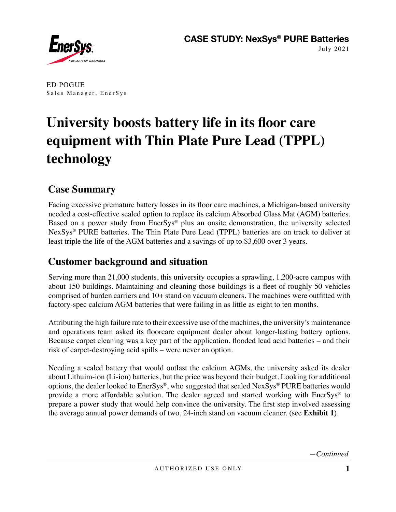



ED POGUE Sales Manager, EnerSys

# **University boosts battery life in its floor care equipment with Thin Plate Pure Lead (TPPL) technology**

## **Case Summary**

Facing excessive premature battery losses in its floor care machines, a Michigan-based university needed a cost-effective sealed option to replace its calcium Absorbed Glass Mat (AGM) batteries. Based on a power study from EnerSys® plus an onsite demonstration, the university selected NexSys® PURE batteries. The Thin Plate Pure Lead (TPPL) batteries are on track to deliver at least triple the life of the AGM batteries and a savings of up to \$3,600 over 3 years.

## **Customer background and situation**

Serving more than 21,000 students, this university occupies a sprawling, 1,200-acre campus with about 150 buildings. Maintaining and cleaning those buildings is a fleet of roughly 50 vehicles comprised of burden carriers and 10+ stand on vacuum cleaners. The machines were outfitted with factory-spec calcium AGM batteries that were failing in as little as eight to ten months.

Attributing the high failure rate to their excessive use of the machines, the university's maintenance and operations team asked its floorcare equipment dealer about longer-lasting battery options. Because carpet cleaning was a key part of the application, flooded lead acid batteries – and their risk of carpet-destroying acid spills – were never an option.

Needing a sealed battery that would outlast the calcium AGMs, the university asked its dealer about Lithuim-ion (Li-ion) batteries, but the price was beyond their budget. Looking for additional options, the dealer looked to EnerSys®, who suggested that sealed NexSys® PURE batteries would provide a more affordable solution. The dealer agreed and started working with EnerSys® to prepare a power study that would help convince the university. The first step involved assessing the average annual power demands of two, 24-inch stand on vacuum cleaner. (see **Exhibit 1**).

*—Continued*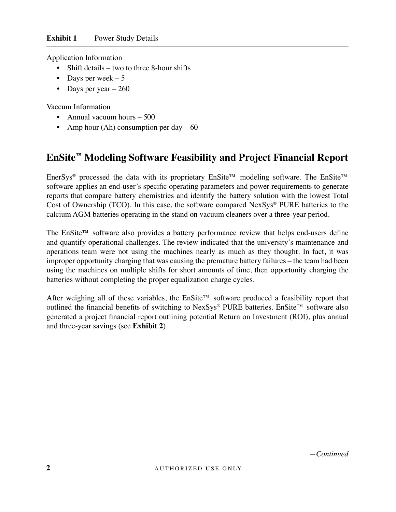Application Information

- Shift details two to three 8-hour shifts
- Days per week  $-5$
- Days per year 260

Vaccum Information

- Annual vacuum hours 500
- Amp hour (Ah) consumption per day  $-60$

#### **EnSite™ Modeling Software Feasibility and Project Financial Report**

EnerSys® processed the data with its proprietary EnSite™ modeling software. The EnSite™ software applies an end-user's specific operating parameters and power requirements to generate reports that compare battery chemistries and identify the battery solution with the lowest Total Cost of Ownership (TCO). In this case, the software compared NexSys® PURE batteries to the calcium AGM batteries operating in the stand on vacuum cleaners over a three-year period.

The EnSite™ software also provides a battery performance review that helps end-users define and quantify operational challenges. The review indicated that the university's maintenance and operations team were not using the machines nearly as much as they thought. In fact, it was improper opportunity charging that was causing the premature battery failures – the team had been using the machines on multiple shifts for short amounts of time, then opportunity charging the batteries without completing the proper equalization charge cycles.

After weighing all of these variables, the EnSite™ software produced a feasibility report that outlined the financial benefits of switching to NexSys® PURE batteries. EnSite™ software also generated a project financial report outlining potential Return on Investment (ROI), plus annual and three-year savings (see **Exhibit 2**).

*—Continued*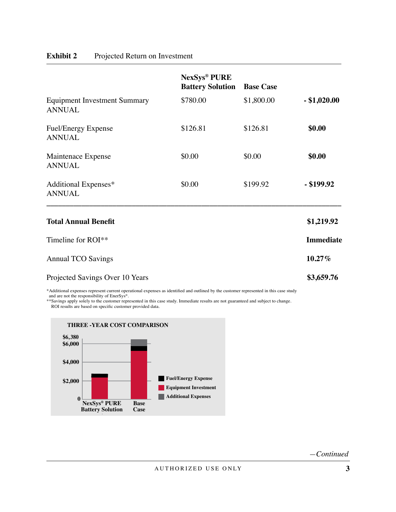#### **Exhibit 2** Projected Return on Investment

|                                                      | <b>NexSys® PURE</b><br><b>Battery Solution</b> | <b>Base Case</b> |                  |
|------------------------------------------------------|------------------------------------------------|------------------|------------------|
| <b>Equipment Investment Summary</b><br><b>ANNUAL</b> | \$780.00                                       | \$1,800.00       | $-$ \$1,020.00   |
| <b>Fuel/Energy Expense</b><br><b>ANNUAL</b>          | \$126.81                                       | \$126.81         | \$0.00           |
| Maintenace Expense<br><b>ANNUAL</b>                  | \$0.00                                         | \$0.00           | \$0.00           |
| Additional Expenses*<br><b>ANNUAL</b>                | \$0.00                                         | \$199.92         | $-$ \$199.92     |
| <b>Total Annual Benefit</b>                          |                                                |                  | \$1,219.92       |
| Timeline for ROI**                                   |                                                |                  | <b>Immediate</b> |
| <b>Annual TCO Savings</b>                            |                                                |                  | 10.27%           |
| Projected Savings Over 10 Years                      |                                                |                  | \$3,659.76       |

\*Additional expenses represent current operational expenses as identified and outlined by the customer represented in this case study and are not the responsibility of EnerSys®.

\*\*Savings apply solely to the customer represented in this case study. Immediate results are not guaranteed and subject to change. ROI results are based on specific customer provided data.



*—Continued*